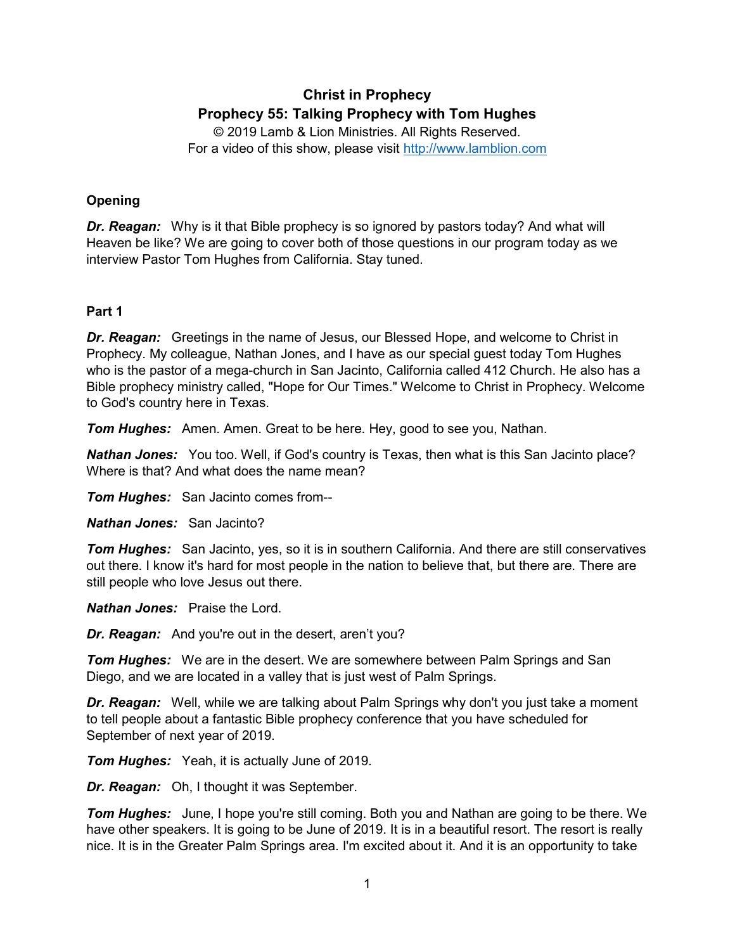# **Christ in Prophecy Prophecy 55: Talking Prophecy with Tom Hughes**

© 2019 Lamb & Lion Ministries. All Rights Reserved. For a video of this show, please visit [http://www.lamblion.com](http://www.lamblion.com/)

# **Opening**

*Dr. Reagan:* Why is it that Bible prophecy is so ignored by pastors today? And what will Heaven be like? We are going to cover both of those questions in our program today as we interview Pastor Tom Hughes from California. Stay tuned.

## **Part 1**

*Dr. Reagan:* Greetings in the name of Jesus, our Blessed Hope, and welcome to Christ in Prophecy. My colleague, Nathan Jones, and I have as our special guest today Tom Hughes who is the pastor of a mega-church in San Jacinto, California called 412 Church. He also has a Bible prophecy ministry called, "Hope for Our Times." Welcome to Christ in Prophecy. Welcome to God's country here in Texas.

*Tom Hughes:* Amen. Amen. Great to be here. Hey, good to see you, Nathan.

*Nathan Jones:* You too. Well, if God's country is Texas, then what is this San Jacinto place? Where is that? And what does the name mean?

*Tom Hughes:* San Jacinto comes from--

*Nathan Jones:* San Jacinto?

*Tom Hughes:* San Jacinto, yes, so it is in southern California. And there are still conservatives out there. I know it's hard for most people in the nation to believe that, but there are. There are still people who love Jesus out there.

*Nathan Jones:* Praise the Lord.

*Dr. Reagan:* And you're out in the desert, aren't you?

**Tom Hughes:** We are in the desert. We are somewhere between Palm Springs and San Diego, and we are located in a valley that is just west of Palm Springs.

*Dr. Reagan:* Well, while we are talking about Palm Springs why don't you just take a moment to tell people about a fantastic Bible prophecy conference that you have scheduled for September of next year of 2019.

*Tom Hughes:* Yeah, it is actually June of 2019.

*Dr. Reagan:* Oh, I thought it was September.

**Tom Hughes:** June, I hope you're still coming. Both you and Nathan are going to be there. We have other speakers. It is going to be June of 2019. It is in a beautiful resort. The resort is really nice. It is in the Greater Palm Springs area. I'm excited about it. And it is an opportunity to take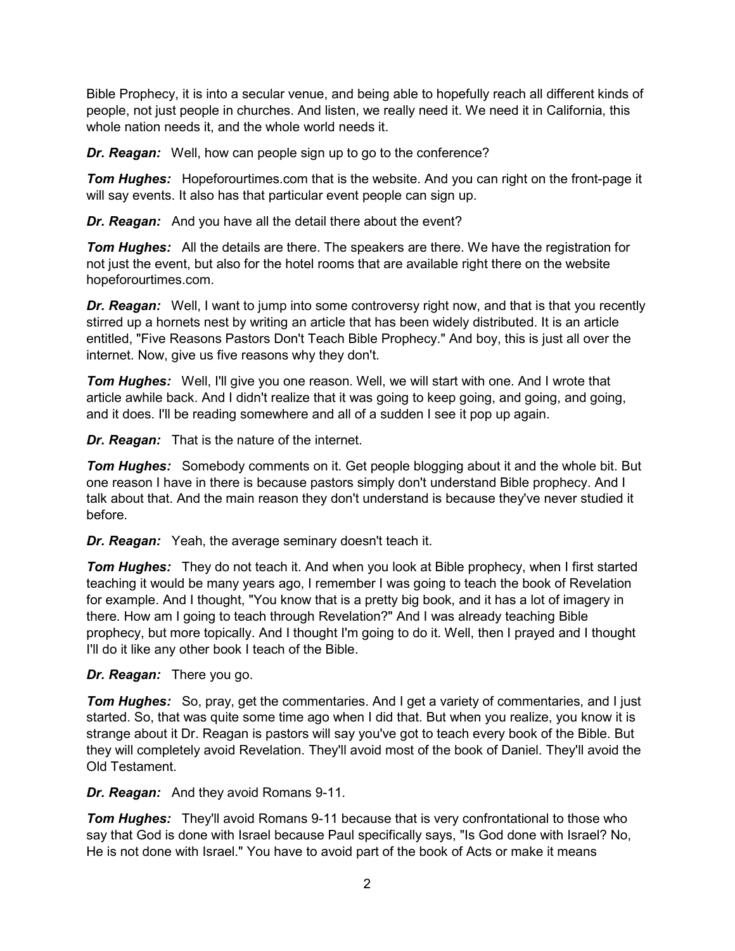Bible Prophecy, it is into a secular venue, and being able to hopefully reach all different kinds of people, not just people in churches. And listen, we really need it. We need it in California, this whole nation needs it, and the whole world needs it.

*Dr. Reagan:* Well, how can people sign up to go to the conference?

*Tom Hughes:* Hopeforourtimes.com that is the website. And you can right on the front-page it will say events. It also has that particular event people can sign up.

*Dr. Reagan:* And you have all the detail there about the event?

*Tom Hughes:* All the details are there. The speakers are there. We have the registration for not just the event, but also for the hotel rooms that are available right there on the website hopeforourtimes.com.

*Dr. Reagan:* Well, I want to jump into some controversy right now, and that is that you recently stirred up a hornets nest by writing an article that has been widely distributed. It is an article entitled, "Five Reasons Pastors Don't Teach Bible Prophecy." And boy, this is just all over the internet. Now, give us five reasons why they don't.

*Tom Hughes:* Well, I'll give you one reason. Well, we will start with one. And I wrote that article awhile back. And I didn't realize that it was going to keep going, and going, and going, and it does. I'll be reading somewhere and all of a sudden I see it pop up again.

*Dr. Reagan:* That is the nature of the internet.

*Tom Hughes:* Somebody comments on it. Get people blogging about it and the whole bit. But one reason I have in there is because pastors simply don't understand Bible prophecy. And I talk about that. And the main reason they don't understand is because they've never studied it before.

*Dr. Reagan:* Yeah, the average seminary doesn't teach it.

**Tom Hughes:** They do not teach it. And when you look at Bible prophecy, when I first started teaching it would be many years ago, I remember I was going to teach the book of Revelation for example. And I thought, "You know that is a pretty big book, and it has a lot of imagery in there. How am I going to teach through Revelation?" And I was already teaching Bible prophecy, but more topically. And I thought I'm going to do it. Well, then I prayed and I thought I'll do it like any other book I teach of the Bible.

*Dr. Reagan:* There you go.

**Tom Hughes:** So, pray, get the commentaries. And I get a variety of commentaries, and I just started. So, that was quite some time ago when I did that. But when you realize, you know it is strange about it Dr. Reagan is pastors will say you've got to teach every book of the Bible. But they will completely avoid Revelation. They'll avoid most of the book of Daniel. They'll avoid the Old Testament.

*Dr. Reagan:* And they avoid Romans 9-11.

*Tom Hughes:* They'll avoid Romans 9-11 because that is very confrontational to those who say that God is done with Israel because Paul specifically says, "Is God done with Israel? No, He is not done with Israel." You have to avoid part of the book of Acts or make it means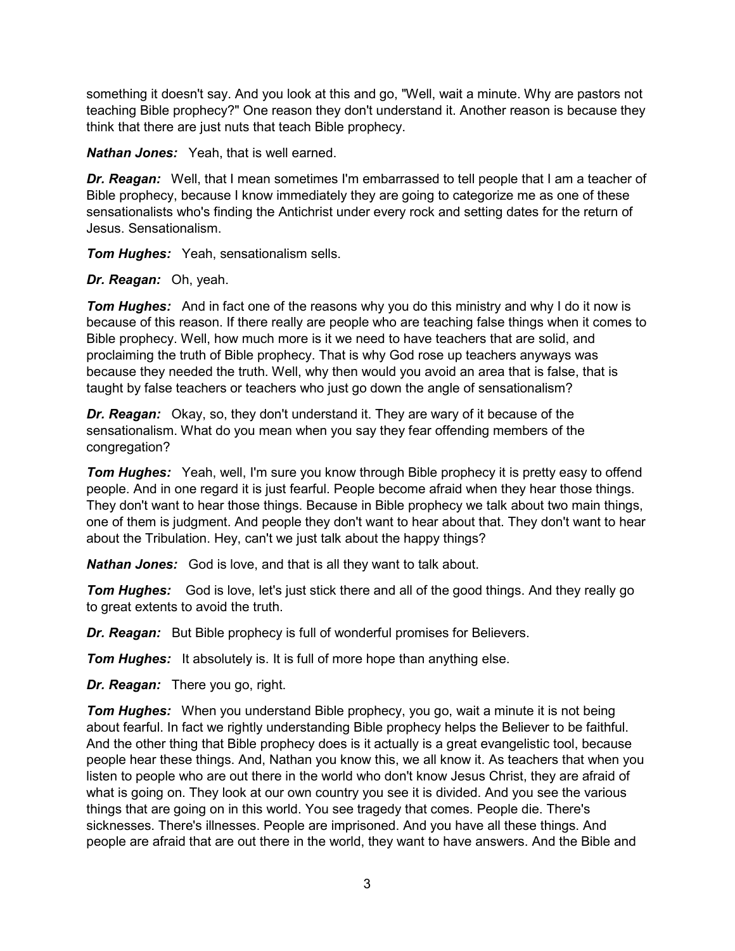something it doesn't say. And you look at this and go, "Well, wait a minute. Why are pastors not teaching Bible prophecy?" One reason they don't understand it. Another reason is because they think that there are just nuts that teach Bible prophecy.

*Nathan Jones:* Yeah, that is well earned.

*Dr. Reagan:* Well, that I mean sometimes I'm embarrassed to tell people that I am a teacher of Bible prophecy, because I know immediately they are going to categorize me as one of these sensationalists who's finding the Antichrist under every rock and setting dates for the return of Jesus. Sensationalism.

*Tom Hughes:* Yeah, sensationalism sells.

### *Dr. Reagan:* Oh, yeah.

*Tom Hughes:* And in fact one of the reasons why you do this ministry and why I do it now is because of this reason. If there really are people who are teaching false things when it comes to Bible prophecy. Well, how much more is it we need to have teachers that are solid, and proclaiming the truth of Bible prophecy. That is why God rose up teachers anyways was because they needed the truth. Well, why then would you avoid an area that is false, that is taught by false teachers or teachers who just go down the angle of sensationalism?

*Dr. Reagan:* Okay, so, they don't understand it. They are wary of it because of the sensationalism. What do you mean when you say they fear offending members of the congregation?

**Tom Hughes:** Yeah, well, I'm sure you know through Bible prophecy it is pretty easy to offend people. And in one regard it is just fearful. People become afraid when they hear those things. They don't want to hear those things. Because in Bible prophecy we talk about two main things, one of them is judgment. And people they don't want to hear about that. They don't want to hear about the Tribulation. Hey, can't we just talk about the happy things?

*Nathan Jones:* God is love, and that is all they want to talk about.

*Tom Hughes:* God is love, let's just stick there and all of the good things. And they really go to great extents to avoid the truth.

*Dr. Reagan:* But Bible prophecy is full of wonderful promises for Believers.

*Tom Hughes:* It absolutely is. It is full of more hope than anything else.

*Dr. Reagan:* There you go, right.

**Tom Hughes:** When you understand Bible prophecy, you go, wait a minute it is not being about fearful. In fact we rightly understanding Bible prophecy helps the Believer to be faithful. And the other thing that Bible prophecy does is it actually is a great evangelistic tool, because people hear these things. And, Nathan you know this, we all know it. As teachers that when you listen to people who are out there in the world who don't know Jesus Christ, they are afraid of what is going on. They look at our own country you see it is divided. And you see the various things that are going on in this world. You see tragedy that comes. People die. There's sicknesses. There's illnesses. People are imprisoned. And you have all these things. And people are afraid that are out there in the world, they want to have answers. And the Bible and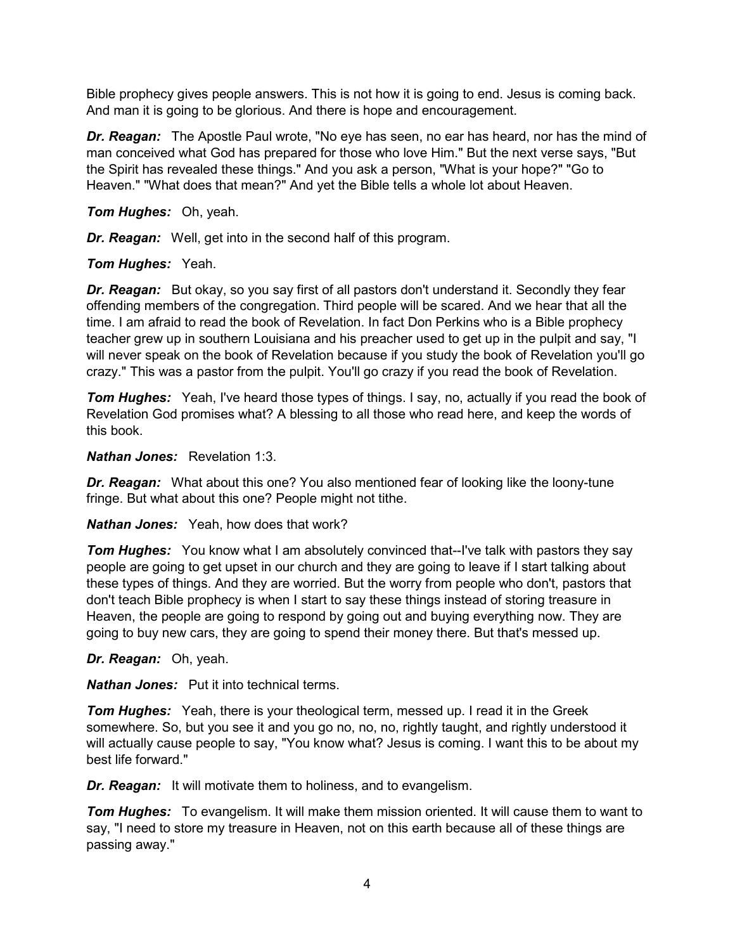Bible prophecy gives people answers. This is not how it is going to end. Jesus is coming back. And man it is going to be glorious. And there is hope and encouragement.

*Dr. Reagan:* The Apostle Paul wrote, "No eye has seen, no ear has heard, nor has the mind of man conceived what God has prepared for those who love Him." But the next verse says, "But the Spirit has revealed these things." And you ask a person, "What is your hope?" "Go to Heaven." "What does that mean?" And yet the Bible tells a whole lot about Heaven.

*Tom Hughes:* Oh, yeah.

*Dr. Reagan:* Well, get into in the second half of this program.

### *Tom Hughes:* Yeah.

*Dr. Reagan:* But okay, so you say first of all pastors don't understand it. Secondly they fear offending members of the congregation. Third people will be scared. And we hear that all the time. I am afraid to read the book of Revelation. In fact Don Perkins who is a Bible prophecy teacher grew up in southern Louisiana and his preacher used to get up in the pulpit and say, "I will never speak on the book of Revelation because if you study the book of Revelation you'll go crazy." This was a pastor from the pulpit. You'll go crazy if you read the book of Revelation.

*Tom Hughes:* Yeah, I've heard those types of things. I say, no, actually if you read the book of Revelation God promises what? A blessing to all those who read here, and keep the words of this book.

#### *Nathan Jones:* Revelation 1:3.

*Dr. Reagan:* What about this one? You also mentioned fear of looking like the loony-tune fringe. But what about this one? People might not tithe.

#### *Nathan Jones:* Yeah, how does that work?

**Tom Hughes:** You know what I am absolutely convinced that--I've talk with pastors they say people are going to get upset in our church and they are going to leave if I start talking about these types of things. And they are worried. But the worry from people who don't, pastors that don't teach Bible prophecy is when I start to say these things instead of storing treasure in Heaven, the people are going to respond by going out and buying everything now. They are going to buy new cars, they are going to spend their money there. But that's messed up.

*Dr. Reagan:* Oh, yeah.

*Nathan Jones:* Put it into technical terms.

*Tom Hughes:* Yeah, there is your theological term, messed up. I read it in the Greek somewhere. So, but you see it and you go no, no, no, rightly taught, and rightly understood it will actually cause people to say, "You know what? Jesus is coming. I want this to be about my best life forward."

*Dr. Reagan:* It will motivate them to holiness, and to evangelism.

*Tom Hughes:* To evangelism. It will make them mission oriented. It will cause them to want to say, "I need to store my treasure in Heaven, not on this earth because all of these things are passing away."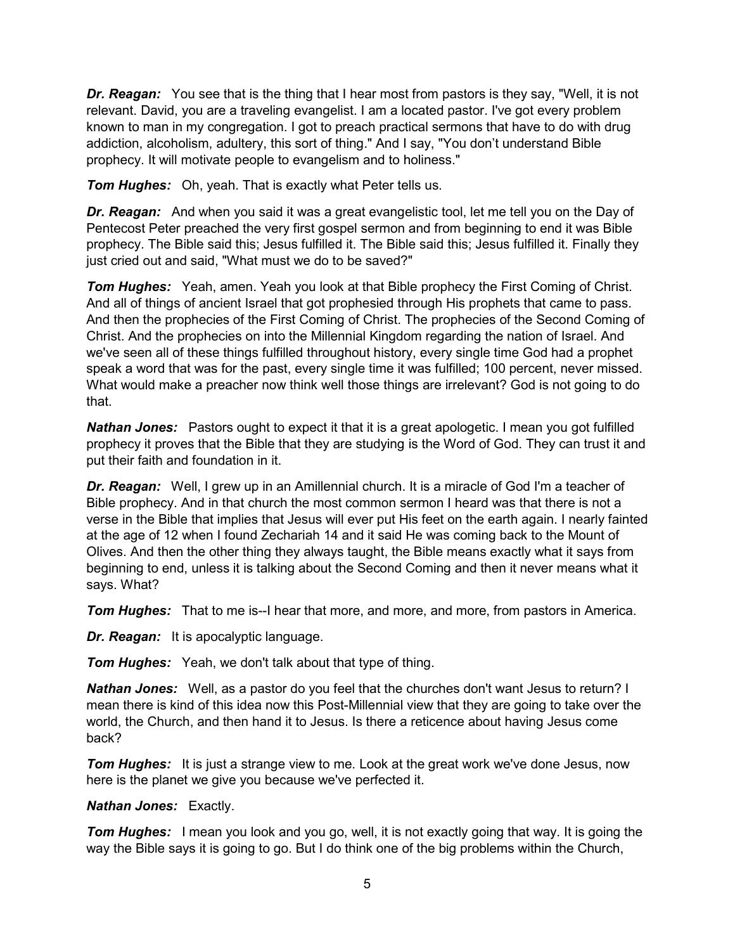*Dr. Reagan:* You see that is the thing that I hear most from pastors is they say, "Well, it is not relevant. David, you are a traveling evangelist. I am a located pastor. I've got every problem known to man in my congregation. I got to preach practical sermons that have to do with drug addiction, alcoholism, adultery, this sort of thing." And I say, "You don't understand Bible prophecy. It will motivate people to evangelism and to holiness."

*Tom Hughes:* Oh, yeah. That is exactly what Peter tells us.

*Dr. Reagan:* And when you said it was a great evangelistic tool, let me tell you on the Day of Pentecost Peter preached the very first gospel sermon and from beginning to end it was Bible prophecy. The Bible said this; Jesus fulfilled it. The Bible said this; Jesus fulfilled it. Finally they just cried out and said, "What must we do to be saved?"

*Tom Hughes:* Yeah, amen. Yeah you look at that Bible prophecy the First Coming of Christ. And all of things of ancient Israel that got prophesied through His prophets that came to pass. And then the prophecies of the First Coming of Christ. The prophecies of the Second Coming of Christ. And the prophecies on into the Millennial Kingdom regarding the nation of Israel. And we've seen all of these things fulfilled throughout history, every single time God had a prophet speak a word that was for the past, every single time it was fulfilled; 100 percent, never missed. What would make a preacher now think well those things are irrelevant? God is not going to do that.

*Nathan Jones:* Pastors ought to expect it that it is a great apologetic. I mean you got fulfilled prophecy it proves that the Bible that they are studying is the Word of God. They can trust it and put their faith and foundation in it.

**Dr. Reagan:** Well, I grew up in an Amillennial church. It is a miracle of God I'm a teacher of Bible prophecy. And in that church the most common sermon I heard was that there is not a verse in the Bible that implies that Jesus will ever put His feet on the earth again. I nearly fainted at the age of 12 when I found Zechariah 14 and it said He was coming back to the Mount of Olives. And then the other thing they always taught, the Bible means exactly what it says from beginning to end, unless it is talking about the Second Coming and then it never means what it says. What?

*Tom Hughes:* That to me is--I hear that more, and more, and more, from pastors in America.

*Dr. Reagan:* It is apocalyptic language.

*Tom Hughes:* Yeah, we don't talk about that type of thing.

*Nathan Jones:* Well, as a pastor do you feel that the churches don't want Jesus to return? I mean there is kind of this idea now this Post-Millennial view that they are going to take over the world, the Church, and then hand it to Jesus. Is there a reticence about having Jesus come back?

*Tom Hughes:* It is just a strange view to me. Look at the great work we've done Jesus, now here is the planet we give you because we've perfected it.

#### *Nathan Jones:* Exactly.

**Tom Hughes:** I mean you look and you go, well, it is not exactly going that way. It is going the way the Bible says it is going to go. But I do think one of the big problems within the Church,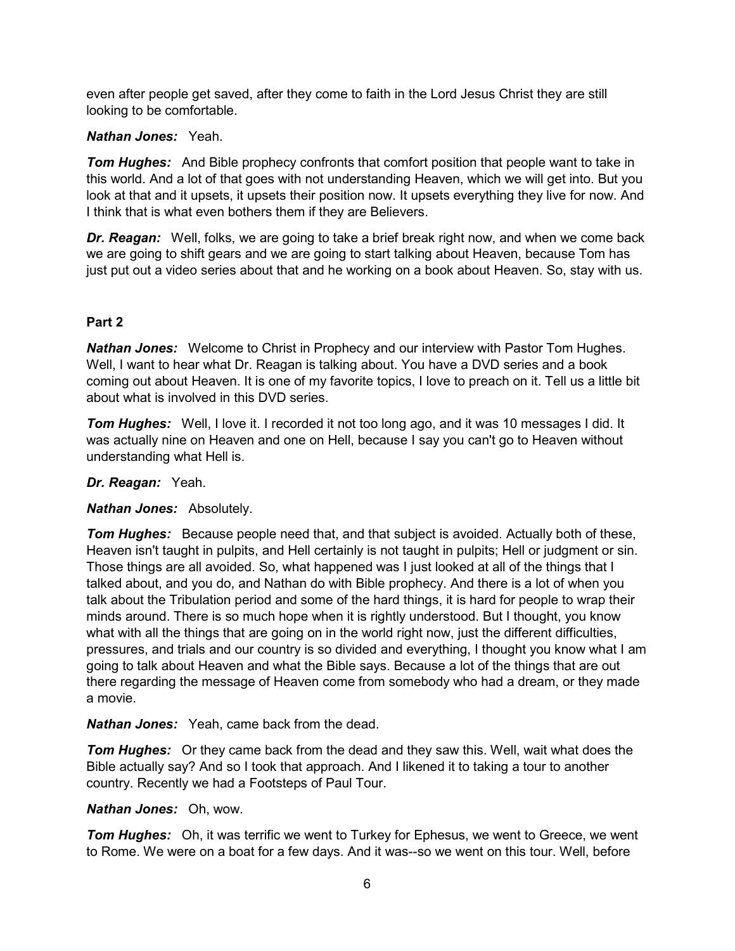even after people get saved, after they come to faith in the Lord Jesus Christ they are still looking to be comfortable.

# *Nathan Jones:* Yeah.

**Tom Hughes:** And Bible prophecy confronts that comfort position that people want to take in this world. And a lot of that goes with not understanding Heaven, which we will get into. But you look at that and it upsets, it upsets their position now. It upsets everything they live for now. And I think that is what even bothers them if they are Believers.

**Dr. Reagan:** Well, folks, we are going to take a brief break right now, and when we come back we are going to shift gears and we are going to start talking about Heaven, because Tom has just put out a video series about that and he working on a book about Heaven. So, stay with us.

# **Part 2**

*Nathan Jones:* Welcome to Christ in Prophecy and our interview with Pastor Tom Hughes. Well, I want to hear what Dr. Reagan is talking about. You have a DVD series and a book coming out about Heaven. It is one of my favorite topics, I love to preach on it. Tell us a little bit about what is involved in this DVD series.

*Tom Hughes:* Well, I love it. I recorded it not too long ago, and it was 10 messages I did. It was actually nine on Heaven and one on Hell, because I say you can't go to Heaven without understanding what Hell is.

*Dr. Reagan:* Yeah.

# *Nathan Jones:* Absolutely.

*Tom Hughes:* Because people need that, and that subject is avoided. Actually both of these, Heaven isn't taught in pulpits, and Hell certainly is not taught in pulpits; Hell or judgment or sin. Those things are all avoided. So, what happened was I just looked at all of the things that I talked about, and you do, and Nathan do with Bible prophecy. And there is a lot of when you talk about the Tribulation period and some of the hard things, it is hard for people to wrap their minds around. There is so much hope when it is rightly understood. But I thought, you know what with all the things that are going on in the world right now, just the different difficulties, pressures, and trials and our country is so divided and everything, I thought you know what I am going to talk about Heaven and what the Bible says. Because a lot of the things that are out there regarding the message of Heaven come from somebody who had a dream, or they made a movie.

*Nathan Jones:* Yeah, came back from the dead.

*Tom Hughes:* Or they came back from the dead and they saw this. Well, wait what does the Bible actually say? And so I took that approach. And I likened it to taking a tour to another country. Recently we had a Footsteps of Paul Tour.

### *Nathan Jones:* Oh, wow.

*Tom Hughes:* Oh, it was terrific we went to Turkey for Ephesus, we went to Greece, we went to Rome. We were on a boat for a few days. And it was--so we went on this tour. Well, before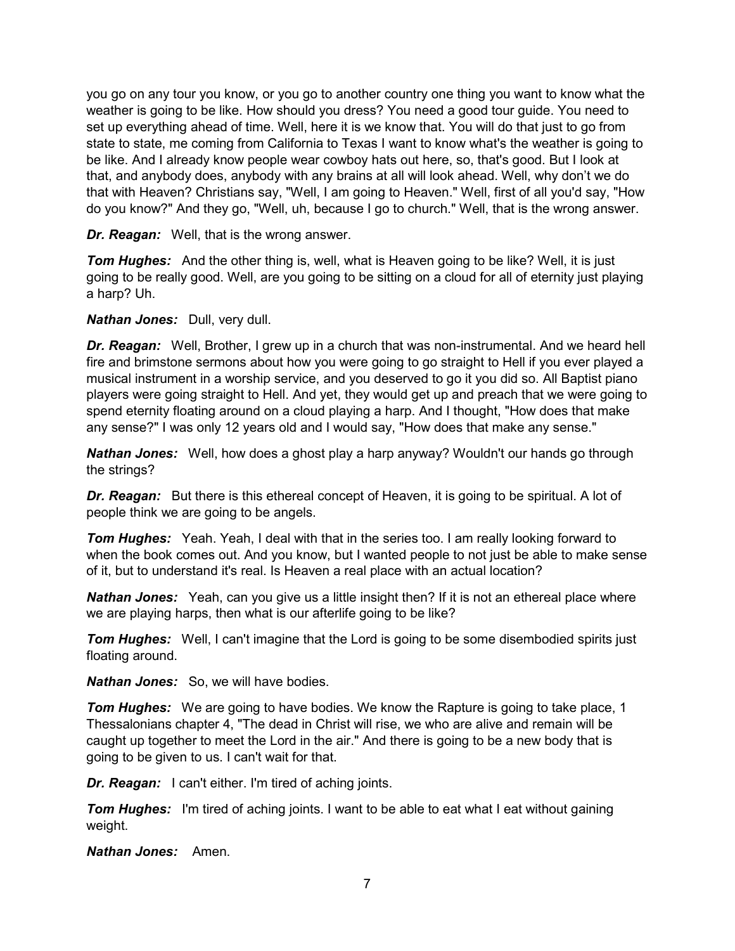you go on any tour you know, or you go to another country one thing you want to know what the weather is going to be like. How should you dress? You need a good tour guide. You need to set up everything ahead of time. Well, here it is we know that. You will do that just to go from state to state, me coming from California to Texas I want to know what's the weather is going to be like. And I already know people wear cowboy hats out here, so, that's good. But I look at that, and anybody does, anybody with any brains at all will look ahead. Well, why don't we do that with Heaven? Christians say, "Well, I am going to Heaven." Well, first of all you'd say, "How do you know?" And they go, "Well, uh, because I go to church." Well, that is the wrong answer.

*Dr. Reagan:* Well, that is the wrong answer.

**Tom Hughes:** And the other thing is, well, what is Heaven going to be like? Well, it is just going to be really good. Well, are you going to be sitting on a cloud for all of eternity just playing a harp? Uh.

*Nathan Jones:* Dull, very dull.

*Dr. Reagan:* Well, Brother, I grew up in a church that was non-instrumental. And we heard hell fire and brimstone sermons about how you were going to go straight to Hell if you ever played a musical instrument in a worship service, and you deserved to go it you did so. All Baptist piano players were going straight to Hell. And yet, they would get up and preach that we were going to spend eternity floating around on a cloud playing a harp. And I thought, "How does that make any sense?" I was only 12 years old and I would say, "How does that make any sense."

*Nathan Jones:* Well, how does a ghost play a harp anyway? Wouldn't our hands go through the strings?

*Dr. Reagan:* But there is this ethereal concept of Heaven, it is going to be spiritual. A lot of people think we are going to be angels.

*Tom Hughes:* Yeah. Yeah, I deal with that in the series too. I am really looking forward to when the book comes out. And you know, but I wanted people to not just be able to make sense of it, but to understand it's real. Is Heaven a real place with an actual location?

*Nathan Jones:* Yeah, can you give us a little insight then? If it is not an ethereal place where we are playing harps, then what is our afterlife going to be like?

**Tom Hughes:** Well, I can't imagine that the Lord is going to be some disembodied spirits just floating around.

*Nathan Jones:* So, we will have bodies.

*Tom Hughes:* We are going to have bodies. We know the Rapture is going to take place, 1 Thessalonians chapter 4, "The dead in Christ will rise, we who are alive and remain will be caught up together to meet the Lord in the air." And there is going to be a new body that is going to be given to us. I can't wait for that.

*Dr. Reagan:* I can't either. I'm tired of aching joints.

*Tom Hughes:* I'm tired of aching joints. I want to be able to eat what I eat without gaining weight.

*Nathan Jones:* Amen.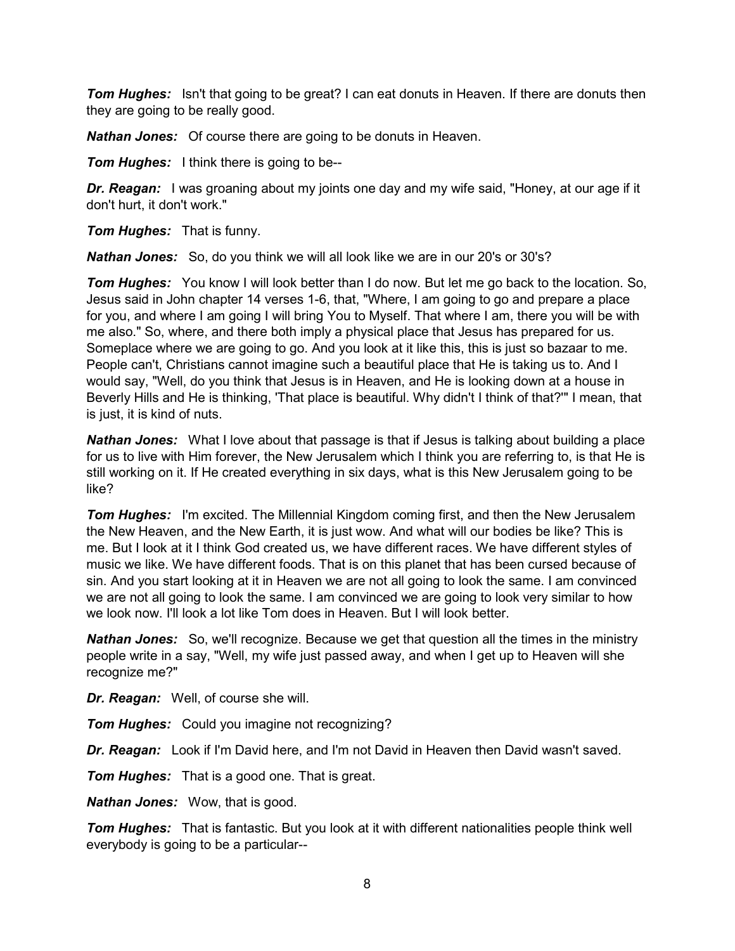*Tom Hughes:* Isn't that going to be great? I can eat donuts in Heaven. If there are donuts then they are going to be really good.

*Nathan Jones:* Of course there are going to be donuts in Heaven.

*Tom Hughes:* I think there is going to be--

**Dr. Reagan:** I was groaning about my joints one day and my wife said, "Honey, at our age if it don't hurt, it don't work."

*Tom Hughes:* That is funny.

*Nathan Jones:* So, do you think we will all look like we are in our 20's or 30's?

**Tom Hughes:** You know I will look better than I do now. But let me go back to the location. So, Jesus said in John chapter 14 verses 1-6, that, "Where, I am going to go and prepare a place for you, and where I am going I will bring You to Myself. That where I am, there you will be with me also." So, where, and there both imply a physical place that Jesus has prepared for us. Someplace where we are going to go. And you look at it like this, this is just so bazaar to me. People can't, Christians cannot imagine such a beautiful place that He is taking us to. And I would say, "Well, do you think that Jesus is in Heaven, and He is looking down at a house in Beverly Hills and He is thinking, 'That place is beautiful. Why didn't I think of that?'" I mean, that is just, it is kind of nuts.

*Nathan Jones:* What I love about that passage is that if Jesus is talking about building a place for us to live with Him forever, the New Jerusalem which I think you are referring to, is that He is still working on it. If He created everything in six days, what is this New Jerusalem going to be like?

**Tom Hughes:** I'm excited. The Millennial Kingdom coming first, and then the New Jerusalem the New Heaven, and the New Earth, it is just wow. And what will our bodies be like? This is me. But I look at it I think God created us, we have different races. We have different styles of music we like. We have different foods. That is on this planet that has been cursed because of sin. And you start looking at it in Heaven we are not all going to look the same. I am convinced we are not all going to look the same. I am convinced we are going to look very similar to how we look now. I'll look a lot like Tom does in Heaven. But I will look better.

**Nathan Jones:** So, we'll recognize. Because we get that question all the times in the ministry people write in a say, "Well, my wife just passed away, and when I get up to Heaven will she recognize me?"

*Dr. Reagan:* Well, of course she will.

*Tom Hughes:* Could you imagine not recognizing?

*Dr. Reagan:* Look if I'm David here, and I'm not David in Heaven then David wasn't saved.

*Tom Hughes:* That is a good one. That is great.

*Nathan Jones:* Wow, that is good.

*Tom Hughes:* That is fantastic. But you look at it with different nationalities people think well everybody is going to be a particular--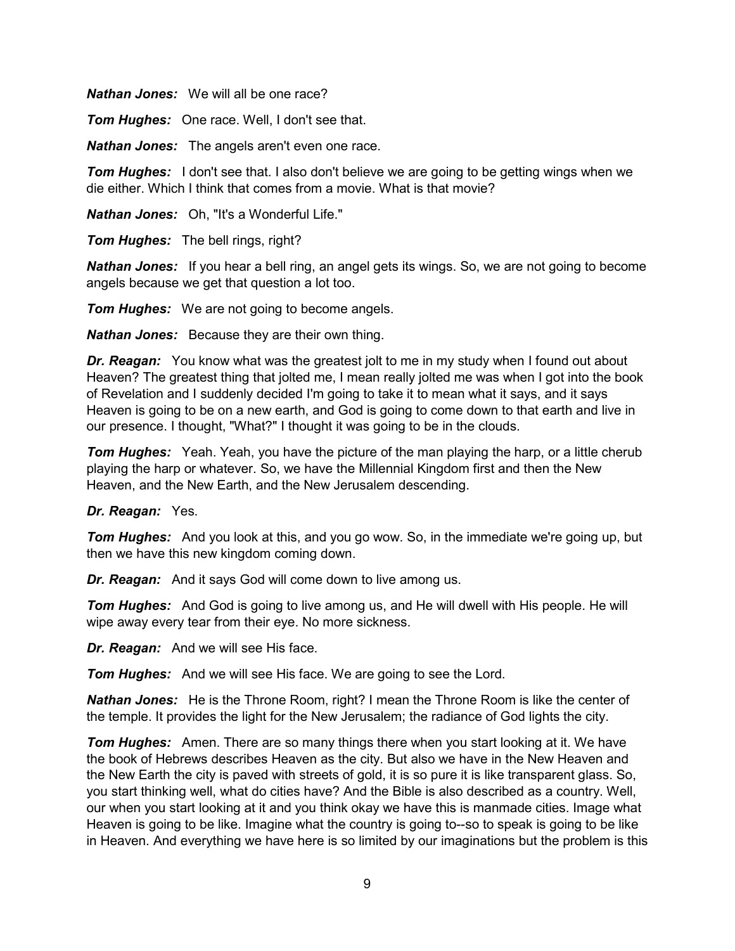*Nathan Jones:* We will all be one race?

*Tom Hughes:* One race. Well, I don't see that.

*Nathan Jones:* The angels aren't even one race.

**Tom Hughes:** I don't see that. I also don't believe we are going to be getting wings when we die either. Which I think that comes from a movie. What is that movie?

*Nathan Jones:* Oh, "It's a Wonderful Life."

*Tom Hughes:* The bell rings, right?

*Nathan Jones:* If you hear a bell ring, an angel gets its wings. So, we are not going to become angels because we get that question a lot too.

*Tom Hughes:* We are not going to become angels.

*Nathan Jones:* Because they are their own thing.

*Dr. Reagan:* You know what was the greatest jolt to me in my study when I found out about Heaven? The greatest thing that jolted me, I mean really jolted me was when I got into the book of Revelation and I suddenly decided I'm going to take it to mean what it says, and it says Heaven is going to be on a new earth, and God is going to come down to that earth and live in our presence. I thought, "What?" I thought it was going to be in the clouds.

**Tom Hughes:** Yeah. Yeah, you have the picture of the man playing the harp, or a little cherub playing the harp or whatever. So, we have the Millennial Kingdom first and then the New Heaven, and the New Earth, and the New Jerusalem descending.

### *Dr. Reagan:* Yes.

*Tom Hughes:* And you look at this, and you go wow. So, in the immediate we're going up, but then we have this new kingdom coming down.

*Dr. Reagan:* And it says God will come down to live among us.

*Tom Hughes:* And God is going to live among us, and He will dwell with His people. He will wipe away every tear from their eye. No more sickness.

*Dr. Reagan:* And we will see His face.

*Tom Hughes:* And we will see His face. We are going to see the Lord.

*Nathan Jones:* He is the Throne Room, right? I mean the Throne Room is like the center of the temple. It provides the light for the New Jerusalem; the radiance of God lights the city.

*Tom Hughes:* Amen. There are so many things there when you start looking at it. We have the book of Hebrews describes Heaven as the city. But also we have in the New Heaven and the New Earth the city is paved with streets of gold, it is so pure it is like transparent glass. So, you start thinking well, what do cities have? And the Bible is also described as a country. Well, our when you start looking at it and you think okay we have this is manmade cities. Image what Heaven is going to be like. Imagine what the country is going to--so to speak is going to be like in Heaven. And everything we have here is so limited by our imaginations but the problem is this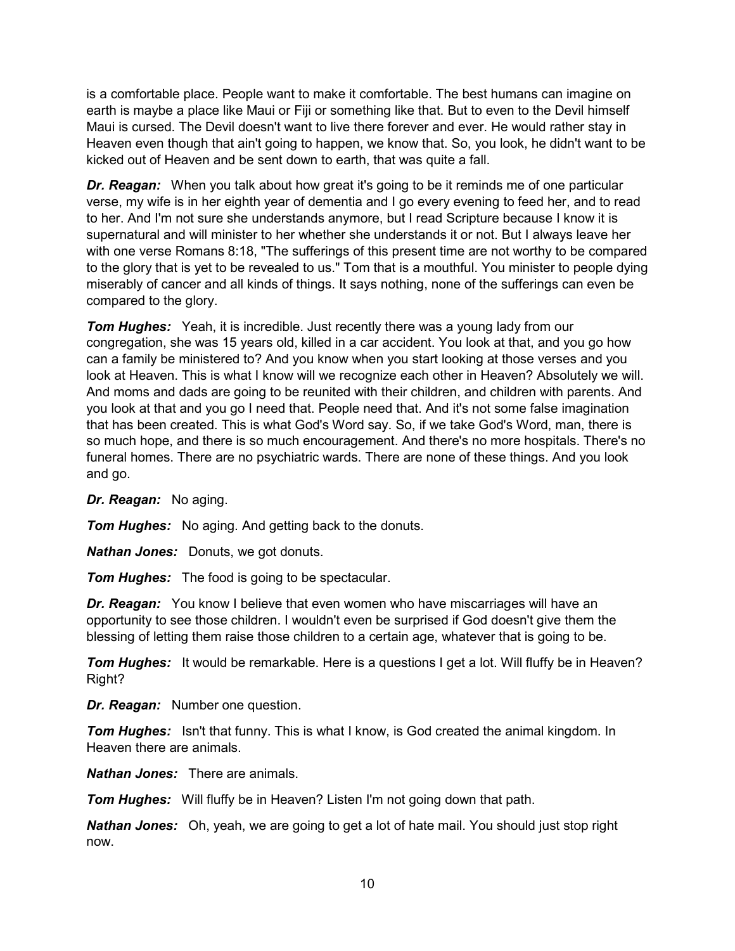is a comfortable place. People want to make it comfortable. The best humans can imagine on earth is maybe a place like Maui or Fiji or something like that. But to even to the Devil himself Maui is cursed. The Devil doesn't want to live there forever and ever. He would rather stay in Heaven even though that ain't going to happen, we know that. So, you look, he didn't want to be kicked out of Heaven and be sent down to earth, that was quite a fall.

*Dr. Reagan:* When you talk about how great it's going to be it reminds me of one particular verse, my wife is in her eighth year of dementia and I go every evening to feed her, and to read to her. And I'm not sure she understands anymore, but I read Scripture because I know it is supernatural and will minister to her whether she understands it or not. But I always leave her with one verse Romans 8:18, "The sufferings of this present time are not worthy to be compared to the glory that is yet to be revealed to us." Tom that is a mouthful. You minister to people dying miserably of cancer and all kinds of things. It says nothing, none of the sufferings can even be compared to the glory.

*Tom Hughes:* Yeah, it is incredible. Just recently there was a young lady from our congregation, she was 15 years old, killed in a car accident. You look at that, and you go how can a family be ministered to? And you know when you start looking at those verses and you look at Heaven. This is what I know will we recognize each other in Heaven? Absolutely we will. And moms and dads are going to be reunited with their children, and children with parents. And you look at that and you go I need that. People need that. And it's not some false imagination that has been created. This is what God's Word say. So, if we take God's Word, man, there is so much hope, and there is so much encouragement. And there's no more hospitals. There's no funeral homes. There are no psychiatric wards. There are none of these things. And you look and go.

### *Dr. Reagan:* No aging.

*Tom Hughes:* No aging. And getting back to the donuts.

*Nathan Jones:* Donuts, we got donuts.

*Tom Hughes:* The food is going to be spectacular.

*Dr. Reagan:* You know I believe that even women who have miscarriages will have an opportunity to see those children. I wouldn't even be surprised if God doesn't give them the blessing of letting them raise those children to a certain age, whatever that is going to be.

**Tom Hughes:** It would be remarkable. Here is a questions I get a lot. Will fluffy be in Heaven? Right?

*Dr. Reagan:* Number one question.

*Tom Hughes:* Isn't that funny. This is what I know, is God created the animal kingdom. In Heaven there are animals.

*Nathan Jones:* There are animals.

*Tom Hughes:* Will fluffy be in Heaven? Listen I'm not going down that path.

*Nathan Jones:* Oh, yeah, we are going to get a lot of hate mail. You should just stop right now.